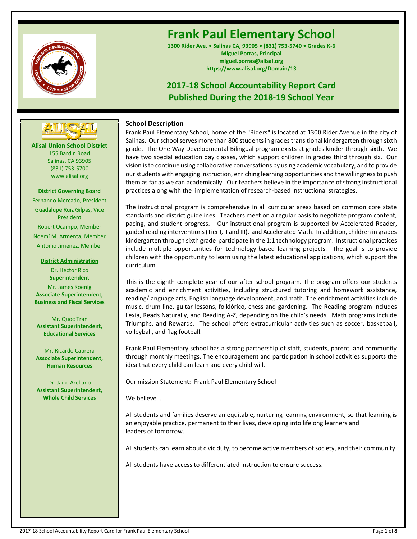

# **Frank Paul Elementary School**

**1300 Rider Ave. • Salinas CA, 93905 • (831) 753-5740 • Grades K-6 Miguel Porras, Principal miguel.porras@alisal.org https://www.alisal.org/Domain/13**

## **2017-18 School Accountability Report Card Published During the 2018-19 School Year**



**Alisal Union School District** 155 Bardin Road Salinas, CA 93905 (831) 753-5700 www.alisal.org

## **District Governing Board**

Fernando Mercado, President Guadalupe Ruiz Gilpas, Vice President Robert Ocampo, Member Noemí M. Armenta, Member Antonio Jimenez, Member

> **District Administration** Dr. Héctor Rico **Superintendent**

Mr. James Koenig **Associate Superintendent, Business and Fiscal Services**

Mr. Quoc Tran **Assistant Superintendent, Educational Services**

Mr. Ricardo Cabrera **Associate Superintendent, Human Resources**

Dr. Jairo Arellano **Assistant Superintendent, Whole Child Services**

## **School Description**

Frank Paul Elementary School, home of the "Riders" is located at 1300 Rider Avenue in the city of Salinas. Our school serves more than 800 students in grades transitional kindergarten through sixth grade. The One Way Developmental Bilingual program exists at grades kinder through sixth. We have two special education day classes, which support children in grades third through six. Our vision is to continue using collaborative conversations by using academic vocabulary, and to provide our students with engaging instruction, enriching learning opportunities and the willingness to push them as far as we can academically. Our teachers believe in the importance of strong instructional practices along with the implementation of research-based instructional strategies.

The instructional program is comprehensive in all curricular areas based on common core state standards and district guidelines. Teachers meet on a regular basis to negotiate program content, pacing, and student progress. Our instructional program is supported by Accelerated Reader, guided reading interventions (Tier I, II and III), and Accelerated Math. In addition, children in grades kindergarten through sixth grade participate in the 1:1 technology program. Instructional practices include multiple opportunities for technology-based learning projects. The goal is to provide children with the opportunity to learn using the latest educational applications, which support the curriculum.

This is the eighth complete year of our after school program. The program offers our students academic and enrichment activities, including structured tutoring and homework assistance, reading/language arts, English language development, and math. The enrichment activities include music, drum-line, guitar lessons, folklórico, chess and gardening. The Reading program includes Lexia, Reads Naturally, and Reading A-Z, depending on the child's needs. Math programs include Triumphs, and Rewards. The school offers extracurricular activities such as soccer, basketball, volleyball, and flag football.

Frank Paul Elementary school has a strong partnership of staff, students, parent, and community through monthly meetings. The encouragement and participation in school activities supports the idea that every child can learn and every child will.

Our mission Statement: Frank Paul Elementary School

We believe...

All students and families deserve an equitable, nurturing learning environment, so that learning is an enjoyable practice, permanent to their lives, developing into lifelong learners and leaders of tomorrow.

All students can learn about civic duty, to become active members of society, and their community.

All students have access to differentiated instruction to ensure success.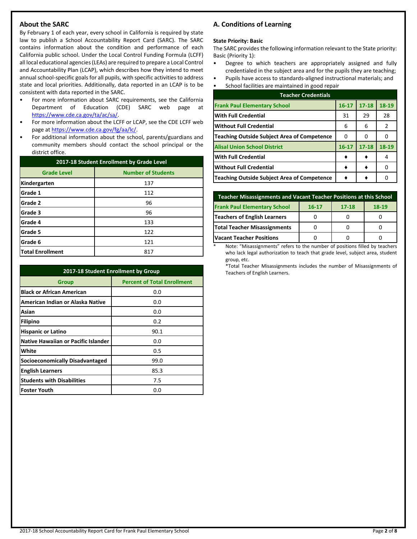## **About the SARC**

By February 1 of each year, every school in California is required by state law to publish a School Accountability Report Card (SARC). The SARC contains information about the condition and performance of each California public school. Under the Local Control Funding Formula (LCFF) all local educational agencies (LEAs) are required to prepare a Local Control and Accountability Plan (LCAP), which describes how they intend to meet annual school-specific goals for all pupils, with specific activities to address state and local priorities. Additionally, data reported in an LCAP is to be consistent with data reported in the SARC.

- For more information about SARC requirements, see the California Department of Education (CDE) SARC web page at [https://www.cde.ca.gov/ta/ac/sa/.](https://www.cde.ca.gov/ta/ac/sa/)
- For more information about the LCFF or LCAP, see the CDE LCFF web page at [https://www.cde.ca.gov/fg/aa/lc/.](https://www.cde.ca.gov/fg/aa/lc/)
- For additional information about the school, parents/guardians and community members should contact the school principal or the district office.

| 2017-18 Student Enrollment by Grade Level       |     |  |  |  |
|-------------------------------------------------|-----|--|--|--|
| <b>Number of Students</b><br><b>Grade Level</b> |     |  |  |  |
| Kindergarten                                    | 137 |  |  |  |
| Grade 1                                         | 112 |  |  |  |
| Grade 2                                         | 96  |  |  |  |
| Grade 3                                         | 96  |  |  |  |
| Grade 4                                         | 133 |  |  |  |
| Grade 5                                         | 122 |  |  |  |
| Grade 6                                         | 121 |  |  |  |
| <b>Total Enrollment</b>                         | 817 |  |  |  |

| 2017-18 Student Enrollment by Group    |                                    |  |  |  |
|----------------------------------------|------------------------------------|--|--|--|
| <b>Group</b>                           | <b>Percent of Total Enrollment</b> |  |  |  |
| <b>Black or African American</b>       | 0.0                                |  |  |  |
| American Indian or Alaska Native       | 0.0                                |  |  |  |
| Asian                                  | 0.0                                |  |  |  |
| Filipino                               | 0.2                                |  |  |  |
| <b>Hispanic or Latino</b>              | 90.1                               |  |  |  |
| Native Hawaiian or Pacific Islander    | 0.0                                |  |  |  |
| White                                  | 0.5                                |  |  |  |
| <b>Socioeconomically Disadvantaged</b> | 99.0                               |  |  |  |
| <b>English Learners</b>                | 85.3                               |  |  |  |
| <b>Students with Disabilities</b>      | 7.5                                |  |  |  |
| lFoster Youth                          | 0.0                                |  |  |  |

## **A. Conditions of Learning**

### **State Priority: Basic**

The SARC provides the following information relevant to the State priority: Basic (Priority 1):

- Degree to which teachers are appropriately assigned and fully credentialed in the subject area and for the pupils they are teaching;
- Pupils have access to standards-aligned instructional materials; and • School facilities are maintained in good repair

| <b>Teacher Credentials</b>                         |           |           |       |  |  |
|----------------------------------------------------|-----------|-----------|-------|--|--|
| <b>Frank Paul Elementary School</b>                | $16 - 17$ | $17 - 18$ | 18-19 |  |  |
| <b>With Full Credential</b>                        | 31        | 29        | 28    |  |  |
| Without Full Credential                            | 6         | 6         | 2     |  |  |
| <b>Teaching Outside Subject Area of Competence</b> | O         | o         |       |  |  |
| <b>Alisal Union School District</b>                | $16 - 17$ | $17 - 18$ | 18-19 |  |  |
| <b>With Full Credential</b>                        |           |           |       |  |  |
| <b>Without Full Credential</b>                     |           |           |       |  |  |
| <b>Teaching Outside Subject Area of Competence</b> |           |           |       |  |  |

| Teacher Misassignments and Vacant Teacher Positions at this School       |  |  |  |  |  |  |  |
|--------------------------------------------------------------------------|--|--|--|--|--|--|--|
| <b>Frank Paul Elementary School</b><br>$18-19$<br>$17 - 18$<br>$16 - 17$ |  |  |  |  |  |  |  |
| Teachers of English Learners                                             |  |  |  |  |  |  |  |
| <b>Total Teacher Misassignments</b>                                      |  |  |  |  |  |  |  |
| <b>Vacant Teacher Positions</b>                                          |  |  |  |  |  |  |  |

Note: "Misassignments" refers to the number of positions filled by teachers who lack legal authorization to teach that grade level, subject area, student group, etc.

\*Total Teacher Misassignments includes the number of Misassignments of Teachers of English Learners.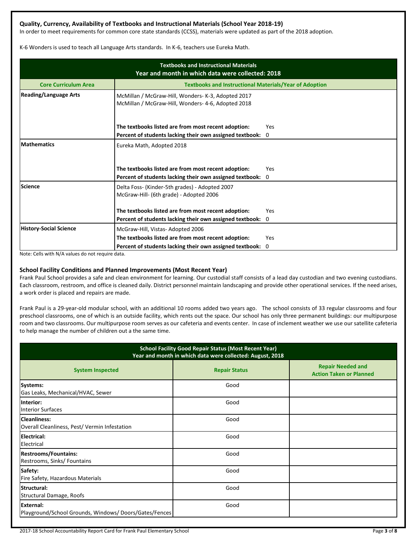## **Quality, Currency, Availability of Textbooks and Instructional Materials (School Year 2018-19)**

In order to meet requirements for common core state standards (CCSS), materials were updated as part of the 2018 adoption.

K-6 Wonders is used to teach all Language Arts standards. In K-6, teachers use Eureka Math.

| <b>Textbooks and Instructional Materials</b><br>Year and month in which data were collected: 2018 |                                                                                                          |          |  |  |  |  |
|---------------------------------------------------------------------------------------------------|----------------------------------------------------------------------------------------------------------|----------|--|--|--|--|
| <b>Core Curriculum Area</b>                                                                       | <b>Textbooks and Instructional Materials/Year of Adoption</b>                                            |          |  |  |  |  |
| <b>Reading/Language Arts</b>                                                                      | McMillan / McGraw-Hill, Wonders- K-3, Adopted 2017<br>McMillan / McGraw-Hill, Wonders- 4-6, Adopted 2018 |          |  |  |  |  |
|                                                                                                   | The textbooks listed are from most recent adoption:                                                      | Yes      |  |  |  |  |
|                                                                                                   | Percent of students lacking their own assigned textbook:                                                 | 0        |  |  |  |  |
| <b>Mathematics</b>                                                                                | Eureka Math, Adopted 2018<br>The textbooks listed are from most recent adoption:                         | Yes      |  |  |  |  |
|                                                                                                   | Percent of students lacking their own assigned textbook:                                                 | $\Omega$ |  |  |  |  |
| <b>Science</b>                                                                                    | Delta Foss- (Kinder-5th grades) - Adopted 2007<br>McGraw-Hill- (6th grade) - Adopted 2006                |          |  |  |  |  |
|                                                                                                   | The textbooks listed are from most recent adoption:                                                      | Yes      |  |  |  |  |
|                                                                                                   | Percent of students lacking their own assigned textbook:                                                 | 0        |  |  |  |  |
| <b>History-Social Science</b>                                                                     | McGraw-Hill, Vistas-Adopted 2006                                                                         |          |  |  |  |  |
|                                                                                                   | The textbooks listed are from most recent adoption:                                                      | Yes      |  |  |  |  |
|                                                                                                   | Percent of students lacking their own assigned textbook:                                                 | 0        |  |  |  |  |

Note: Cells with N/A values do not require data.

## **School Facility Conditions and Planned Improvements (Most Recent Year)**

Frank Paul School provides a safe and clean environment for learning. Our custodial staff consists of a lead day custodian and two evening custodians. Each classroom, restroom, and office is cleaned daily. District personnel maintain landscaping and provide other operational services. If the need arises, a work order is placed and repairs are made.

Frank Paul is a 29-year-old modular school, with an additional 10 rooms added two years ago. The school consists of 33 regular classrooms and four preschool classrooms, one of which is an outside facility, which rents out the space. Our school has only three permanent buildings: our multipurpose room and two classrooms. Our multipurpose room serves as our cafeteria and events center. In case of inclement weather we use our satellite cafeteria to help manage the number of children out a the same time.

| <b>School Facility Good Repair Status (Most Recent Year)</b><br>Year and month in which data were collected: August, 2018 |                      |                                                            |  |  |
|---------------------------------------------------------------------------------------------------------------------------|----------------------|------------------------------------------------------------|--|--|
| <b>System Inspected</b>                                                                                                   | <b>Repair Status</b> | <b>Repair Needed and</b><br><b>Action Taken or Planned</b> |  |  |
| Systems:<br>Gas Leaks, Mechanical/HVAC, Sewer                                                                             | Good                 |                                                            |  |  |
| Interior:<br><b>Interior Surfaces</b>                                                                                     | Good                 |                                                            |  |  |
| <b>Cleanliness:</b><br>Overall Cleanliness, Pest/Vermin Infestation                                                       | Good                 |                                                            |  |  |
| Electrical:<br>Electrical                                                                                                 | Good                 |                                                            |  |  |
| <b>Restrooms/Fountains:</b><br>Restrooms, Sinks/ Fountains                                                                | Good                 |                                                            |  |  |
| Safety:<br>Fire Safety, Hazardous Materials                                                                               | Good                 |                                                            |  |  |
| Structural:<br>Structural Damage, Roofs                                                                                   | Good                 |                                                            |  |  |
| External:<br>Playground/School Grounds, Windows/Doors/Gates/Fences                                                        | Good                 |                                                            |  |  |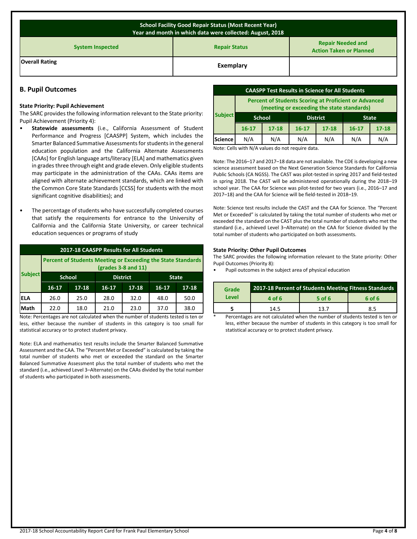| <b>School Facility Good Repair Status (Most Recent Year)</b><br>Year and month in which data were collected: August, 2018 |           |  |  |  |  |
|---------------------------------------------------------------------------------------------------------------------------|-----------|--|--|--|--|
| <b>Repair Needed and</b><br><b>Repair Status</b><br><b>System Inspected</b><br><b>Action Taken or Planned</b>             |           |  |  |  |  |
| <b>Overall Rating</b>                                                                                                     | Exemplary |  |  |  |  |

## **B. Pupil Outcomes**

#### **State Priority: Pupil Achievement**

The SARC provides the following information relevant to the State priority: Pupil Achievement (Priority 4):

- **Statewide assessments** (i.e., California Assessment of Student Performance and Progress [CAASPP] System, which includes the Smarter Balanced Summative Assessments for students in the general education population and the California Alternate Assessments [CAAs] for English language arts/literacy [ELA] and mathematics given in grades three through eight and grade eleven. Only eligible students may participate in the administration of the CAAs. CAAs items are aligned with alternate achievement standards, which are linked with the Common Core State Standards [CCSS] for students with the most significant cognitive disabilities); and
- The percentage of students who have successfully completed courses that satisfy the requirements for entrance to the University of California and the California State University, or career technical education sequences or programs of study

| 2017-18 CAASPP Results for All Students |                                                                                     |                                  |         |              |         |           |
|-----------------------------------------|-------------------------------------------------------------------------------------|----------------------------------|---------|--------------|---------|-----------|
|                                         | Percent of Students Meeting or Exceeding the State Standards<br>(grades 3-8 and 11) |                                  |         |              |         |           |
| <b>Subject</b>                          |                                                                                     | <b>School</b><br><b>District</b> |         | <b>State</b> |         |           |
|                                         | $16 - 17$                                                                           | $17 - 18$                        | $16-17$ | $17 - 18$    | $16-17$ | $17 - 18$ |
| <b>ELA</b>                              | 26.0                                                                                | 25.0                             | 28.0    | 32.0         | 48.0    | 50.0      |
| Math                                    | 22.0                                                                                | 18.0                             | 21.0    | 23.0         | 37.0    | 38.0      |
| .                                       | and the contract of the contract of                                                 |                                  |         |              | .       |           |

Note: Percentages are not calculated when the number of students tested is ten or less, either because the number of students in this category is too small for statistical accuracy or to protect student privacy.

Note: ELA and mathematics test results include the Smarter Balanced Summative Assessment and the CAA. The "Percent Met or Exceeded" is calculated by taking the total number of students who met or exceeded the standard on the Smarter Balanced Summative Assessment plus the total number of students who met the standard (i.e., achieved Level 3–Alternate) on the CAAs divided by the total number of students who participated in both assessments.

| <b>CAASPP Test Results in Science for All Students</b>                                                     |                                  |           |           |           |           |              |
|------------------------------------------------------------------------------------------------------------|----------------------------------|-----------|-----------|-----------|-----------|--------------|
| <b>Percent of Students Scoring at Proficient or Advanced</b><br>(meeting or exceeding the state standards) |                                  |           |           |           |           |              |
| <b>Subject</b>                                                                                             | <b>District</b><br><b>School</b> |           |           |           |           | <b>State</b> |
|                                                                                                            | $16 - 17$                        | $17 - 18$ | $16 - 17$ | $17 - 18$ | $16 - 17$ | $17 - 18$    |
|                                                                                                            |                                  |           |           |           |           |              |

Note: Cells with N/A values do not require data.

Note: The 2016–17 and 2017–18 data are not available. The CDE is developing a new science assessment based on the Next Generation Science Standards for California Public Schools (CA NGSS). The CAST was pilot-tested in spring 2017 and field-tested in spring 2018. The CAST will be administered operationally during the 2018–19 school year. The CAA for Science was pilot-tested for two years (i.e., 2016–17 and 2017–18) and the CAA for Science will be field-tested in 2018–19.

Note: Science test results include the CAST and the CAA for Science. The "Percent Met or Exceeded" is calculated by taking the total number of students who met or exceeded the standard on the CAST plus the total number of students who met the standard (i.e., achieved Level 3–Alternate) on the CAA for Science divided by the total number of students who participated on both assessments.

#### **State Priority: Other Pupil Outcomes**

The SARC provides the following information relevant to the State priority: Other Pupil Outcomes (Priority 8):

• Pupil outcomes in the subject area of physical education

| Grade | 2017-18 Percent of Students Meeting Fitness Standards |        |        |
|-------|-------------------------------------------------------|--------|--------|
| Level | 4 of 6                                                | 5 of 6 | 6 of 6 |
|       | 14.5                                                  | 13 7   | 8.5    |

Percentages are not calculated when the number of students tested is ten or less, either because the number of students in this category is too small for statistical accuracy or to protect student privacy.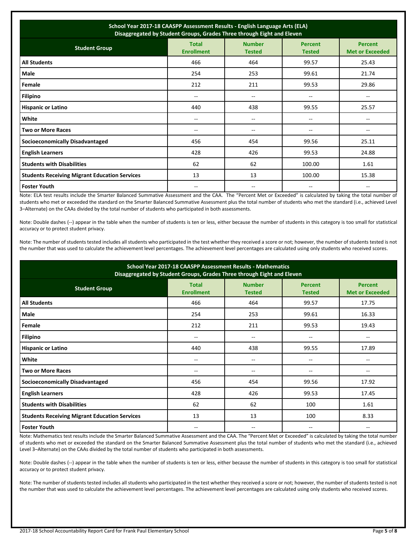| School Year 2017-18 CAASPP Assessment Results - English Language Arts (ELA)<br>Disaggregated by Student Groups, Grades Three through Eight and Eleven |                                       |                                |                                       |                                          |  |
|-------------------------------------------------------------------------------------------------------------------------------------------------------|---------------------------------------|--------------------------------|---------------------------------------|------------------------------------------|--|
| <b>Student Group</b>                                                                                                                                  | <b>Total</b><br><b>Enrollment</b>     | <b>Number</b><br><b>Tested</b> | <b>Percent</b><br><b>Tested</b>       | <b>Percent</b><br><b>Met or Exceeded</b> |  |
| <b>All Students</b>                                                                                                                                   | 466                                   | 464                            | 99.57                                 | 25.43                                    |  |
| Male                                                                                                                                                  | 254                                   | 253                            | 99.61                                 | 21.74                                    |  |
| Female                                                                                                                                                | 212                                   | 211                            | 99.53                                 | 29.86                                    |  |
| <b>Filipino</b>                                                                                                                                       | $-$                                   | $- -$                          | $-$                                   | $-$                                      |  |
| <b>Hispanic or Latino</b>                                                                                                                             | 440                                   | 438                            | 99.55                                 | 25.57                                    |  |
| White                                                                                                                                                 | $\hspace{0.05cm}$ – $\hspace{0.05cm}$ | --                             | $\hspace{0.05cm}$ – $\hspace{0.05cm}$ | --                                       |  |
| <b>Two or More Races</b>                                                                                                                              | --                                    | --                             | --                                    |                                          |  |
| <b>Socioeconomically Disadvantaged</b>                                                                                                                | 456                                   | 454                            | 99.56                                 | 25.11                                    |  |
| <b>English Learners</b>                                                                                                                               | 428                                   | 426                            | 99.53                                 | 24.88                                    |  |
| <b>Students with Disabilities</b>                                                                                                                     | 62                                    | 62                             | 100.00                                | 1.61                                     |  |
| <b>Students Receiving Migrant Education Services</b>                                                                                                  | 13                                    | 13                             | 100.00                                | 15.38                                    |  |
| <b>Foster Youth</b>                                                                                                                                   | --                                    | --                             | --                                    |                                          |  |

Note: ELA test results include the Smarter Balanced Summative Assessment and the CAA. The "Percent Met or Exceeded" is calculated by taking the total number of students who met or exceeded the standard on the Smarter Balanced Summative Assessment plus the total number of students who met the standard (i.e., achieved Level 3–Alternate) on the CAAs divided by the total number of students who participated in both assessments.

Note: Double dashes (--) appear in the table when the number of students is ten or less, either because the number of students in this category is too small for statistical accuracy or to protect student privacy.

Note: The number of students tested includes all students who participated in the test whether they received a score or not; however, the number of students tested is not the number that was used to calculate the achievement level percentages. The achievement level percentages are calculated using only students who received scores.

| School Year 2017-18 CAASPP Assessment Results - Mathematics<br>Disaggregated by Student Groups, Grades Three through Eight and Eleven                                      |       |       |       |       |  |  |  |
|----------------------------------------------------------------------------------------------------------------------------------------------------------------------------|-------|-------|-------|-------|--|--|--|
| <b>Total</b><br><b>Number</b><br><b>Percent</b><br><b>Percent</b><br><b>Student Group</b><br><b>Enrollment</b><br><b>Met or Exceeded</b><br><b>Tested</b><br><b>Tested</b> |       |       |       |       |  |  |  |
| <b>All Students</b>                                                                                                                                                        | 466   | 464   | 99.57 | 17.75 |  |  |  |
| <b>Male</b>                                                                                                                                                                | 254   | 253   | 99.61 | 16.33 |  |  |  |
| Female                                                                                                                                                                     | 212   | 211   | 99.53 | 19.43 |  |  |  |
| <b>Filipino</b>                                                                                                                                                            | --    | $- -$ | --    | --    |  |  |  |
| <b>Hispanic or Latino</b>                                                                                                                                                  | 440   | 438   | 99.55 | 17.89 |  |  |  |
| White                                                                                                                                                                      | --    | --    | --    | --    |  |  |  |
| <b>Two or More Races</b>                                                                                                                                                   | $- -$ | --    | --    | $- -$ |  |  |  |
| <b>Socioeconomically Disadvantaged</b>                                                                                                                                     | 456   | 454   | 99.56 | 17.92 |  |  |  |
| <b>English Learners</b>                                                                                                                                                    | 428   | 426   | 99.53 | 17.45 |  |  |  |
| <b>Students with Disabilities</b>                                                                                                                                          | 62    | 62    | 100   | 1.61  |  |  |  |
| <b>Students Receiving Migrant Education Services</b>                                                                                                                       | 13    | 13    | 100   | 8.33  |  |  |  |
| <b>Foster Youth</b>                                                                                                                                                        | --    | --    | --    |       |  |  |  |

Note: Mathematics test results include the Smarter Balanced Summative Assessment and the CAA. The "Percent Met or Exceeded" is calculated by taking the total number of students who met or exceeded the standard on the Smarter Balanced Summative Assessment plus the total number of students who met the standard (i.e., achieved Level 3–Alternate) on the CAAs divided by the total number of students who participated in both assessments.

Note: Double dashes (--) appear in the table when the number of students is ten or less, either because the number of students in this category is too small for statistical accuracy or to protect student privacy.

Note: The number of students tested includes all students who participated in the test whether they received a score or not; however, the number of students tested is not the number that was used to calculate the achievement level percentages. The achievement level percentages are calculated using only students who received scores.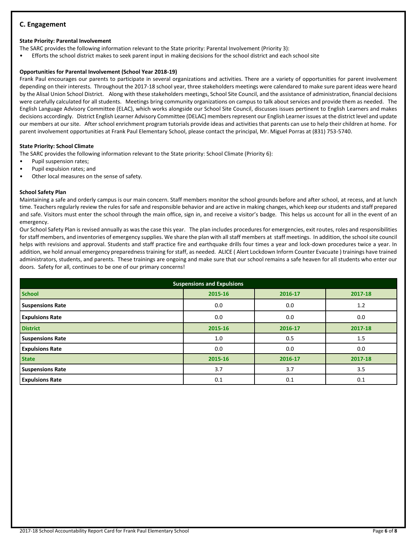## **C. Engagement**

#### **State Priority: Parental Involvement**

The SARC provides the following information relevant to the State priority: Parental Involvement (Priority 3):

• Efforts the school district makes to seek parent input in making decisions for the school district and each school site

### **Opportunities for Parental Involvement (School Year 2018-19)**

Frank Paul encourages our parents to participate in several organizations and activities. There are a variety of opportunities for parent involvement depending on their interests. Throughout the 2017-18 school year, three stakeholders meetings were calendared to make sure parent ideas were heard by the Alisal Union School District. Along with these stakeholders meetings, School Site Council, and the assistance of administration, financial decisions were carefully calculated for all students. Meetings bring community organizations on campus to talk about services and provide them as needed. The English Language Advisory Committee (ELAC), which works alongside our School Site Council, discusses issues pertinent to English Learners and makes decisions accordingly. District English Learner Advisory Committee (DELAC) members represent our English Learner issues at the district level and update our members at our site. After school enrichment program tutorials provide ideas and activities that parents can use to help their children at home. For parent involvement opportunities at Frank Paul Elementary School, please contact the principal, Mr. Miguel Porras at (831) 753-5740.

#### **State Priority: School Climate**

The SARC provides the following information relevant to the State priority: School Climate (Priority 6):

- Pupil suspension rates;
- Pupil expulsion rates; and
- Other local measures on the sense of safety.

#### **School Safety Plan**

Maintaining a safe and orderly campus is our main concern. Staff members monitor the school grounds before and after school, at recess, and at lunch time. Teachers regularly review the rules for safe and responsible behavior and are active in making changes, which keep our students and staff prepared and safe. Visitors must enter the school through the main office, sign in, and receive a visitor's badge. This helps us account for all in the event of an emergency.

Our School Safety Plan is revised annually as was the case this year. The plan includes procedures for emergencies, exit routes, roles and responsibilities for staff members, and inventories of emergency supplies. We share the plan with all staff members at staff meetings. In addition, the school site council helps with revisions and approval. Students and staff practice fire and earthquake drills four times a year and lock-down procedures twice a year. In addition, we hold annual emergency preparedness training for staff, as needed. ALICE ( Alert Lockdown Inform Counter Evacuate ) trainings have trained administrators, students, and parents. These trainings are ongoing and make sure that our school remains a safe heaven for all students who enter our doors. Safety for all, continues to be one of our primary concerns!

| <b>Suspensions and Expulsions</b> |         |         |         |  |  |  |
|-----------------------------------|---------|---------|---------|--|--|--|
| <b>School</b>                     | 2015-16 | 2016-17 | 2017-18 |  |  |  |
| <b>Suspensions Rate</b>           | 0.0     | 0.0     | 1.2     |  |  |  |
| <b>Expulsions Rate</b>            | 0.0     | 0.0     | 0.0     |  |  |  |
| <b>District</b>                   | 2015-16 | 2016-17 | 2017-18 |  |  |  |
| <b>Suspensions Rate</b>           | 1.0     | 0.5     | 1.5     |  |  |  |
| <b>Expulsions Rate</b>            | 0.0     | 0.0     | 0.0     |  |  |  |
| <b>State</b>                      | 2015-16 | 2016-17 | 2017-18 |  |  |  |
| <b>Suspensions Rate</b>           | 3.7     | 3.7     | 3.5     |  |  |  |
| <b>Expulsions Rate</b>            | 0.1     | 0.1     | 0.1     |  |  |  |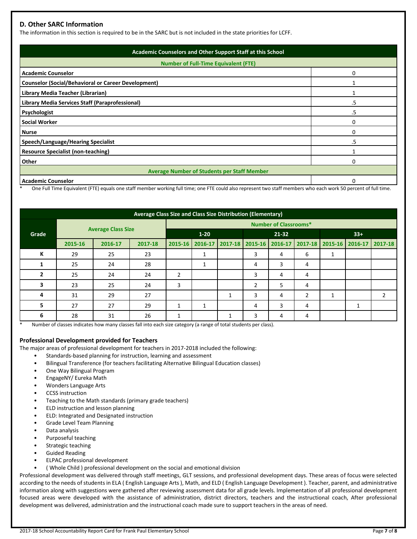## **D. Other SARC Information**

The information in this section is required to be in the SARC but is not included in the state priorities for LCFF.

| Academic Counselors and Other Support Staff at this School |    |  |  |  |
|------------------------------------------------------------|----|--|--|--|
| <b>Number of Full-Time Equivalent (FTE)</b>                |    |  |  |  |
| <b>Academic Counselor</b>                                  | ი  |  |  |  |
| <b>Counselor (Social/Behavioral or Career Development)</b> |    |  |  |  |
| Library Media Teacher (Librarian)                          |    |  |  |  |
| Library Media Services Staff (Paraprofessional)            | .5 |  |  |  |
| Psychologist                                               | .5 |  |  |  |
| <b>Social Worker</b>                                       |    |  |  |  |
| <b>Nurse</b>                                               | ი  |  |  |  |
| <b>Speech/Language/Hearing Specialist</b>                  | .5 |  |  |  |
| <b>Resource Specialist (non-teaching)</b>                  |    |  |  |  |
| Other                                                      | ი  |  |  |  |
| <b>Average Number of Students per Staff Member</b>         |    |  |  |  |
| <b>Academic Counselor</b>                                  |    |  |  |  |

One Full Time Equivalent (FTE) equals one staff member working full time; one FTE could also represent two staff members who each work 50 percent of full time.

| Average Class Size and Class Size Distribution (Elementary) |         |                           |         |                              |         |       |                         |       |   |    |                                 |   |
|-------------------------------------------------------------|---------|---------------------------|---------|------------------------------|---------|-------|-------------------------|-------|---|----|---------------------------------|---|
|                                                             |         |                           |         | <b>Number of Classrooms*</b> |         |       |                         |       |   |    |                                 |   |
| Grade                                                       |         | <b>Average Class Size</b> |         | $1 - 20$                     |         | 21-32 |                         | $33+$ |   |    |                                 |   |
|                                                             | 2015-16 | 2016-17                   | 2017-18 | $2015 - 16$                  | 2016-17 |       | 2017-18 2015-16 2016-17 |       |   |    | 2017-18 2015-16 2016-17 2017-18 |   |
| K                                                           | 29      | 25                        | 23      |                              |         |       | 3                       | 4     | 6 | ┻  |                                 |   |
|                                                             | 25      | 24                        | 28      |                              | 1       |       | 4                       | 3     | 4 |    |                                 |   |
| $\mathbf{2}$                                                | 25      | 24                        | 24      | $\overline{2}$               |         |       | 3                       | 4     | 4 |    |                                 |   |
| 3                                                           | 23      | 25                        | 24      | 3                            |         |       | $\overline{2}$          | 5     | 4 |    |                                 |   |
| 4                                                           | 31      | 29                        | 27      |                              |         |       | 3                       | 4     |   | ÷. |                                 | 2 |
| 5                                                           | 27      | 27                        | 29      | 1                            | 1       |       | 4                       | 3     | 4 |    |                                 |   |
| 6                                                           | 28      | 31                        | 26      | 1                            |         |       | 3                       | 4     | 4 |    |                                 |   |

\* Number of classes indicates how many classes fall into each size category (a range of total students per class).

## **Professional Development provided for Teachers**

The major areas of professional development for teachers in 2017-2018 included the following:

- Standards-based planning for instruction, learning and assessment
- Bilingual Transference (for teachers facilitating Alternative Bilingual Education classes)
- One Way Bilingual Program
- EngageNY/ Eureka Math
- Wonders Language Arts
- CCSS instruction
- Teaching to the Math standards (primary grade teachers)
- ELD instruction and lesson planning
- ELD: Integrated and Designated instruction
- Grade Level Team Planning
- Data analysis
- Purposeful teaching
- Strategic teaching
- Guided Reading
- ELPAC professional development
- ( Whole Child ) professional development on the social and emotional division

Professional development was delivered through staff meetings, GLT sessions, and professional development days. These areas of focus were selected according to the needs of students in ELA ( English Language Arts ), Math, and ELD ( English Language Development ). Teacher, parent, and administrative information along with suggestions were gathered after reviewing assessment data for all grade levels. Implementation of all professional development focused areas were developed with the assistance of administration, district directors, teachers and the instructional coach, After professional development was delivered, administration and the instructional coach made sure to support teachers in the areas of need.